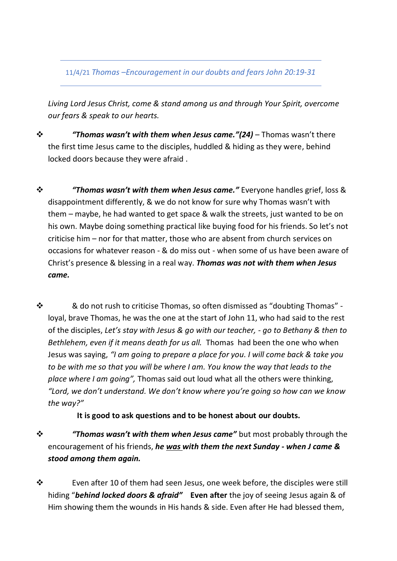11/4/21 *Thomas –Encouragement in our doubts and fears John 20:19-31*

*Living Lord Jesus Christ, come & stand among us and through Your Spirit, overcome our fears & speak to our hearts.*

- ❖ *"Thomas wasn't with them when Jesus came."(24)* Thomas wasn't there the first time Jesus came to the disciples, huddled & hiding as they were, behind locked doors because they were afraid .
- ❖ *"Thomas wasn't with them when Jesus came."* Everyone handles grief, loss & disappointment differently, & we do not know for sure why Thomas wasn't with them – maybe, he had wanted to get space & walk the streets, just wanted to be on his own. Maybe doing something practical like buying food for his friends. So let's not criticise him – nor for that matter, those who are absent from church services on occasions for whatever reason - & do miss out - when some of us have been aware of Christ's presence & blessing in a real way. *Thomas was not with them when Jesus came.*
- ❖ & do not rush to criticise Thomas, so often dismissed as "doubting Thomas" loyal, brave Thomas, he was the one at the start of John 11, who had said to the rest of the disciples, *Let's stay with Jesus & go with our teacher, - go to Bethany & then to Bethlehem, even if it means death for us all.* Thomas had been the one who when Jesus was saying, *"I am going to prepare a place for you. I will come back & take you to be with me so that you will be where I am. You know the way that leads to the place where I am going",* Thomas said out loud what all the others were thinking, *"Lord, we don't understand. We don't know where you're going so how can we know the way?"*

**It is good to ask questions and to be honest about our doubts.**

- ❖ *"Thomas wasn't with them when Jesus came"* but most probably through the encouragement of his friends, *he was with them the next Sunday - when J came & stood among them again.*
- ❖ Even after 10 of them had seen Jesus, one week before, the disciples were still hiding "*behind locked doors & afraid"* **Even after** the joy of seeing Jesus again & of Him showing them the wounds in His hands & side. Even after He had blessed them,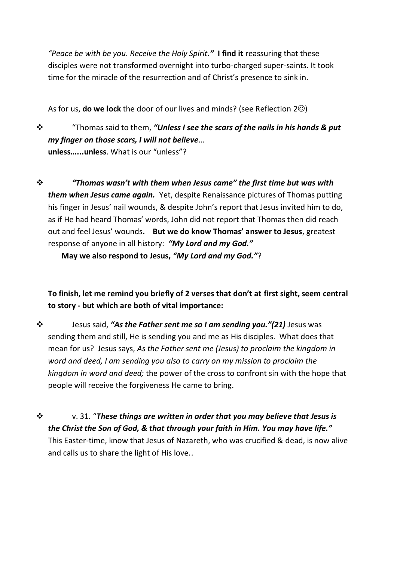*"Peace be with be you. Receive the Holy Spirit."* **I find it** reassuring that these disciples were not transformed overnight into turbo-charged super-saints. It took time for the miracle of the resurrection and of Christ's presence to sink in.

As for us, **do we lock** the door of our lives and minds? (see Reflection 2 $\circledcirc$ )

❖ "Thomas said to them, *"Unless I see the scars of the nails in his hands & put my finger on those scars, I will not believe*… **unless…...unless**. What is our "unless"?

❖ *"Thomas wasn't with them when Jesus came" the first time but was with them when Jesus came again.* Yet, despite Renaissance pictures of Thomas putting his finger in Jesus' nail wounds, & despite John's report that Jesus invited him to do, as if He had heard Thomas' words, John did not report that Thomas then did reach out and feel Jesus' wounds**. But we do know Thomas' answer to Jesus**, greatest response of anyone in all history: *"My Lord and my God."*

**May we also respond to Jesus,** *"My Lord and my God."*?

**To finish, let me remind you briefly of 2 verses that don't at first sight, seem central to story - but which are both of vital importance:**

- ❖ Jesus said, *"As the Father sent me so I am sending you."(21)* Jesus was sending them and still, He is sending you and me as His disciples. What does that mean for us? Jesus says, *As the Father sent me (Jesus) to proclaim the kingdom in word and deed, I am sending you also to carry on my mission to proclaim the kingdom in word and deed;* the power of the cross to confront sin with the hope that people will receive the forgiveness He came to bring.
- ❖ v. 31. "*These things are written in order that you may believe that Jesus is the Christ the Son of God, & that through your faith in Him. You may have life."*  This Easter-time, know that Jesus of Nazareth, who was crucified & dead, is now alive and calls us to share the light of His love..